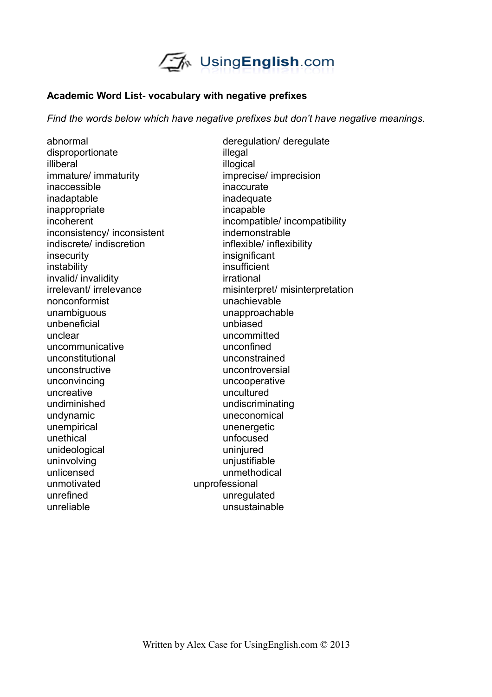

## **Academic Word List- vocabulary with negative prefixes**

*Find the words below which have negative prefixes but don't have negative meanings.*

disproportionate illegal illiberal illogical illogical immature/ immaturity imprecise/ imprecision inaccessible inaccurate inadaptable inadequate inappropriate incapable inconsistency/ inconsistent indemonstrable indiscrete/ indiscretion inflexible/ inflexibility insecurity insignificant instability insufficient invalid/ invalidity invalidity irrational nonconformist unachievable unambiguous unapproachable unbeneficial unbiased unclear uncommitted uncommunicative unconfined unconstitutional unconstrained unconstructive uncontroversial unconvincing uncooperative uncreative uncultured undiminished undiscriminating undynamic uneconomical unempirical values and values of the unenergetic unethical unfocused unideological uninjured uninvolving university with the university university of the university of the university of the university of the university of the university of the university of the university of the university of the university of the unlicensed unmethodical unmotivated unprofessional unrefined unregulated unreliable unsustainable

abnormal deregulation/ deregulate incoherent incompatible/ incompatibility irrelevant/ irrelevance misinterpret/ misinterpretation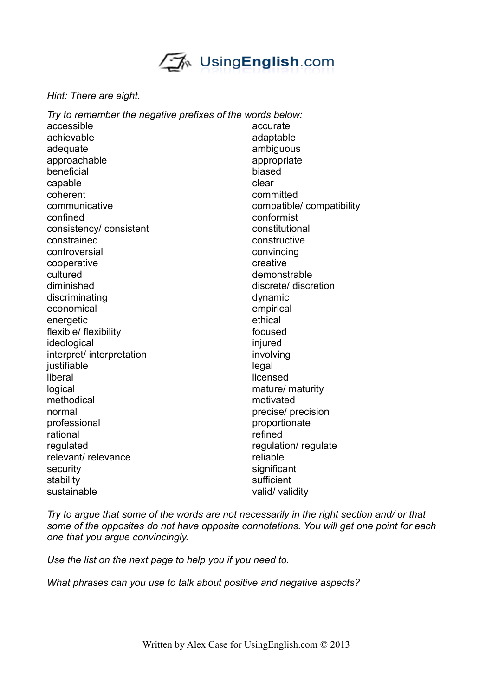UsingEnglish.com

## *Hint: There are eight.*

| Try to remember the negative prefixes of the words below: |  |
|-----------------------------------------------------------|--|
| accurate                                                  |  |
| adaptable                                                 |  |
| ambiguous                                                 |  |
| appropriate                                               |  |
| biased                                                    |  |
| clear                                                     |  |
| committed                                                 |  |
| compatible/compatibility                                  |  |
| conformist                                                |  |
| constitutional                                            |  |
| constructive                                              |  |
| convincing                                                |  |
| creative                                                  |  |
| demonstrable                                              |  |
| discrete/ discretion                                      |  |
| dynamic                                                   |  |
| empirical                                                 |  |
| ethical                                                   |  |
| focused                                                   |  |
| injured                                                   |  |
| involving                                                 |  |
| legal                                                     |  |
| licensed                                                  |  |
| mature/ maturity                                          |  |
| motivated                                                 |  |
| precise/ precision                                        |  |
| proportionate                                             |  |
| refined                                                   |  |
| regulation/regulate                                       |  |
| reliable                                                  |  |
| significant                                               |  |
| sufficient                                                |  |
| valid/ validity                                           |  |
|                                                           |  |

*Try to argue that some of the words are not necessarily in the right section and/ or that some of the opposites do not have opposite connotations. You will get one point for each one that you argue convincingly.*

*Use the list on the next page to help you if you need to.*

*What phrases can you use to talk about positive and negative aspects?*